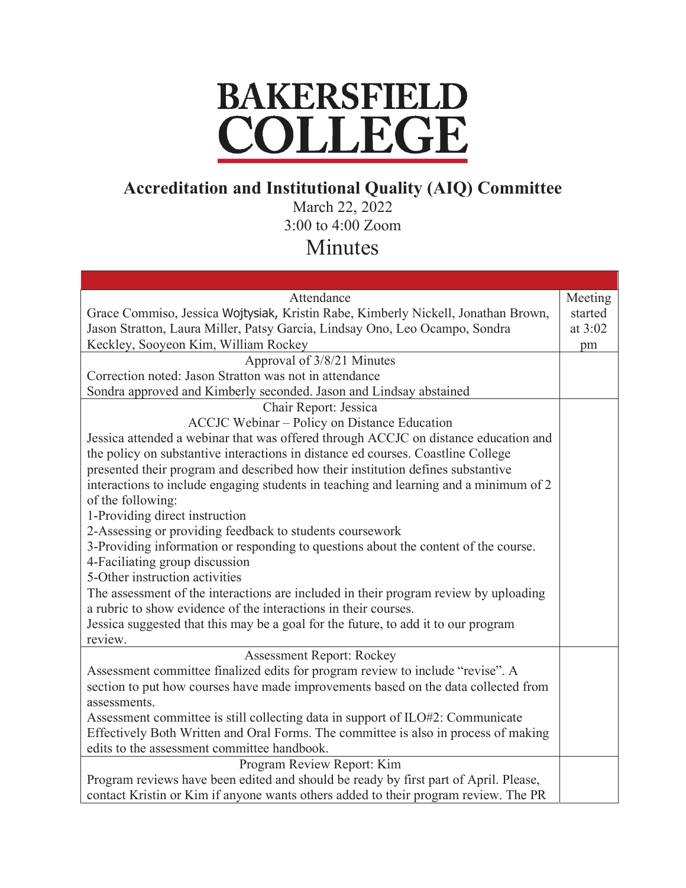## **BAKERSFIELD** COLLEGE

## **Accreditation and Institutional Quality (AIQ) Committee**

March 22, 2022 3:00 to 4:00 Zoom

## Minutes

| Attendance                                                                            | Meeting   |
|---------------------------------------------------------------------------------------|-----------|
| Grace Commiso, Jessica Wojtysiak, Kristin Rabe, Kimberly Nickell, Jonathan Brown,     | started   |
| Jason Stratton, Laura Miller, Patsy Garcia, Lindsay Ono, Leo Ocampo, Sondra           | at $3:02$ |
| Keckley, Sooyeon Kim, William Rockey                                                  | pm        |
| Approval of 3/8/21 Minutes                                                            |           |
| Correction noted: Jason Stratton was not in attendance                                |           |
| Sondra approved and Kimberly seconded. Jason and Lindsay abstained                    |           |
| Chair Report: Jessica                                                                 |           |
| ACCJC Webinar - Policy on Distance Education                                          |           |
| Jessica attended a webinar that was offered through ACCJC on distance education and   |           |
| the policy on substantive interactions in distance ed courses. Coastline College      |           |
| presented their program and described how their institution defines substantive       |           |
| interactions to include engaging students in teaching and learning and a minimum of 2 |           |
| of the following:                                                                     |           |
| 1-Providing direct instruction                                                        |           |
| 2-Assessing or providing feedback to students coursework                              |           |
| 3-Providing information or responding to questions about the content of the course.   |           |
| 4-Faciliating group discussion                                                        |           |
| 5-Other instruction activities                                                        |           |
| The assessment of the interactions are included in their program review by uploading  |           |
| a rubric to show evidence of the interactions in their courses.                       |           |
| Jessica suggested that this may be a goal for the future, to add it to our program    |           |
| review.                                                                               |           |
| <b>Assessment Report: Rockey</b>                                                      |           |
| Assessment committee finalized edits for program review to include "revise". A        |           |
| section to put how courses have made improvements based on the data collected from    |           |
| assessments.                                                                          |           |
| Assessment committee is still collecting data in support of ILO#2: Communicate        |           |
| Effectively Both Written and Oral Forms. The committee is also in process of making   |           |
| edits to the assessment committee handbook.                                           |           |
| Program Review Report: Kim                                                            |           |
| Program reviews have been edited and should be ready by first part of April. Please,  |           |
| contact Kristin or Kim if anyone wants others added to their program review. The PR   |           |